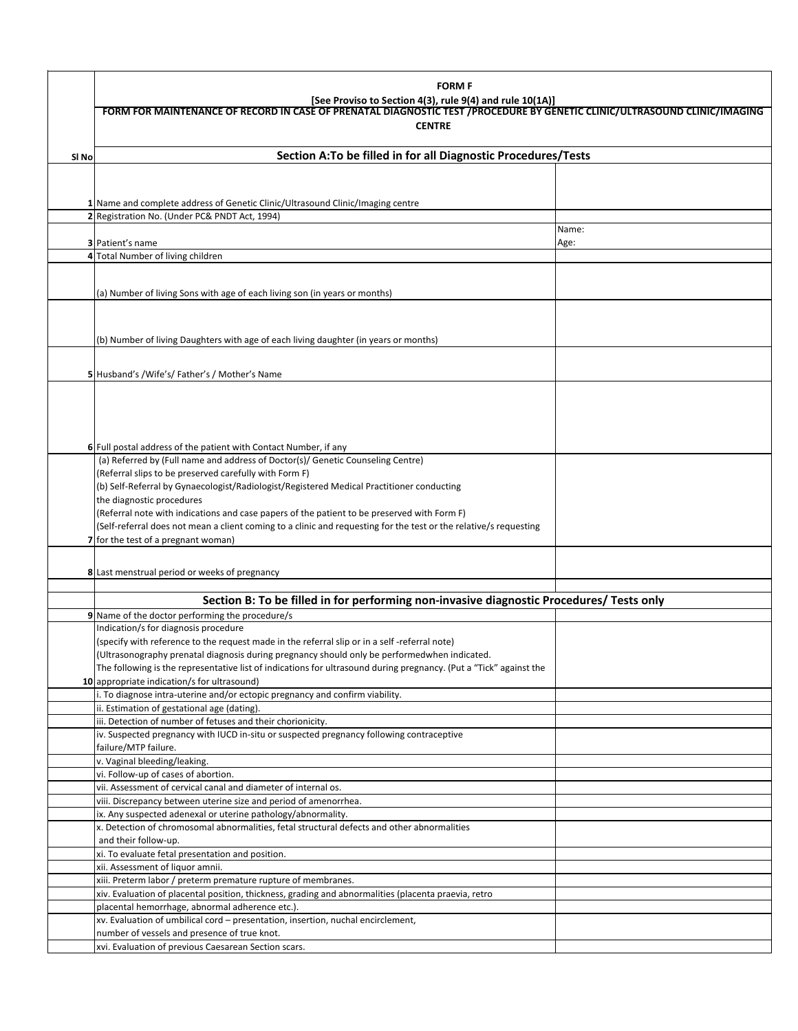|       | <b>FORM F</b><br>[See Proviso to Section 4(3), rule 9(4) and rule 10(1A)]<br>FORM FOR MAINTENANCE OF RECORD IN CASE OF PRENATAL DIAGNOSTIC TEST / PROCEDURE BY GENETIC CLINIC/ULTRASOUND CLINIC/IMAGING |       |  |  |  |
|-------|---------------------------------------------------------------------------------------------------------------------------------------------------------------------------------------------------------|-------|--|--|--|
|       |                                                                                                                                                                                                         |       |  |  |  |
|       | <b>CENTRE</b>                                                                                                                                                                                           |       |  |  |  |
| SI No | Section A:To be filled in for all Diagnostic Procedures/Tests                                                                                                                                           |       |  |  |  |
|       |                                                                                                                                                                                                         |       |  |  |  |
|       |                                                                                                                                                                                                         |       |  |  |  |
|       | 1 Name and complete address of Genetic Clinic/Ultrasound Clinic/Imaging centre                                                                                                                          |       |  |  |  |
|       | 2 Registration No. (Under PC& PNDT Act, 1994)                                                                                                                                                           | Name: |  |  |  |
|       | <b>3</b> Patient's name                                                                                                                                                                                 | Age:  |  |  |  |
|       | 4 Total Number of living children                                                                                                                                                                       |       |  |  |  |
|       |                                                                                                                                                                                                         |       |  |  |  |
|       | (a) Number of living Sons with age of each living son (in years or months)                                                                                                                              |       |  |  |  |
|       |                                                                                                                                                                                                         |       |  |  |  |
|       |                                                                                                                                                                                                         |       |  |  |  |
|       | (b) Number of living Daughters with age of each living daughter (in years or months)                                                                                                                    |       |  |  |  |
|       |                                                                                                                                                                                                         |       |  |  |  |
|       | 5 Husband's /Wife's/ Father's / Mother's Name                                                                                                                                                           |       |  |  |  |
|       |                                                                                                                                                                                                         |       |  |  |  |
|       |                                                                                                                                                                                                         |       |  |  |  |
|       |                                                                                                                                                                                                         |       |  |  |  |
|       |                                                                                                                                                                                                         |       |  |  |  |
|       | 6 Full postal address of the patient with Contact Number, if any<br>(a) Referred by (Full name and address of Doctor(s)/ Genetic Counseling Centre)                                                     |       |  |  |  |
|       | (Referral slips to be preserved carefully with Form F)                                                                                                                                                  |       |  |  |  |
|       | (b) Self-Referral by Gynaecologist/Radiologist/Registered Medical Practitioner conducting                                                                                                               |       |  |  |  |
|       | the diagnostic procedures                                                                                                                                                                               |       |  |  |  |
|       | (Referral note with indications and case papers of the patient to be preserved with Form F)                                                                                                             |       |  |  |  |
|       | (Self-referral does not mean a client coming to a clinic and requesting for the test or the relative/s requesting                                                                                       |       |  |  |  |
|       | 7 for the test of a pregnant woman)                                                                                                                                                                     |       |  |  |  |
|       |                                                                                                                                                                                                         |       |  |  |  |
|       | 8 Last menstrual period or weeks of pregnancy                                                                                                                                                           |       |  |  |  |
|       | Section B: To be filled in for performing non-invasive diagnostic Procedures/ Tests only                                                                                                                |       |  |  |  |
|       | 9 Name of the doctor performing the procedure/s                                                                                                                                                         |       |  |  |  |
|       | Indication/s for diagnosis procedure                                                                                                                                                                    |       |  |  |  |
|       | (specify with reference to the request made in the referral slip or in a self-referral note)                                                                                                            |       |  |  |  |
|       | (Ultrasonography prenatal diagnosis during pregnancy should only be performedwhen indicated.                                                                                                            |       |  |  |  |
|       | The following is the representative list of indications for ultrasound during pregnancy. (Put a "Tick" against the                                                                                      |       |  |  |  |
|       | 10 appropriate indication/s for ultrasound)                                                                                                                                                             |       |  |  |  |
|       | i. To diagnose intra-uterine and/or ectopic pregnancy and confirm viability.<br>ii. Estimation of gestational age (dating).                                                                             |       |  |  |  |
|       | iii. Detection of number of fetuses and their chorionicity.                                                                                                                                             |       |  |  |  |
|       | iv. Suspected pregnancy with IUCD in-situ or suspected pregnancy following contraceptive                                                                                                                |       |  |  |  |
|       | failure/MTP failure.                                                                                                                                                                                    |       |  |  |  |
|       | v. Vaginal bleeding/leaking.                                                                                                                                                                            |       |  |  |  |
|       | vi. Follow-up of cases of abortion.                                                                                                                                                                     |       |  |  |  |
|       | vii. Assessment of cervical canal and diameter of internal os.                                                                                                                                          |       |  |  |  |
|       | viii. Discrepancy between uterine size and period of amenorrhea.<br>ix. Any suspected adenexal or uterine pathology/abnormality.                                                                        |       |  |  |  |
|       | x. Detection of chromosomal abnormalities, fetal structural defects and other abnormalities                                                                                                             |       |  |  |  |
|       | and their follow-up.                                                                                                                                                                                    |       |  |  |  |
|       | xi. To evaluate fetal presentation and position.                                                                                                                                                        |       |  |  |  |
|       | xii. Assessment of liquor amnii.                                                                                                                                                                        |       |  |  |  |
|       | xiii. Preterm labor / preterm premature rupture of membranes.                                                                                                                                           |       |  |  |  |
|       | xiv. Evaluation of placental position, thickness, grading and abnormalities (placenta praevia, retro<br>placental hemorrhage, abnormal adherence etc.).                                                 |       |  |  |  |
|       | xv. Evaluation of umbilical cord - presentation, insertion, nuchal encirclement,                                                                                                                        |       |  |  |  |
|       | number of vessels and presence of true knot.                                                                                                                                                            |       |  |  |  |
|       | xvi. Evaluation of previous Caesarean Section scars.                                                                                                                                                    |       |  |  |  |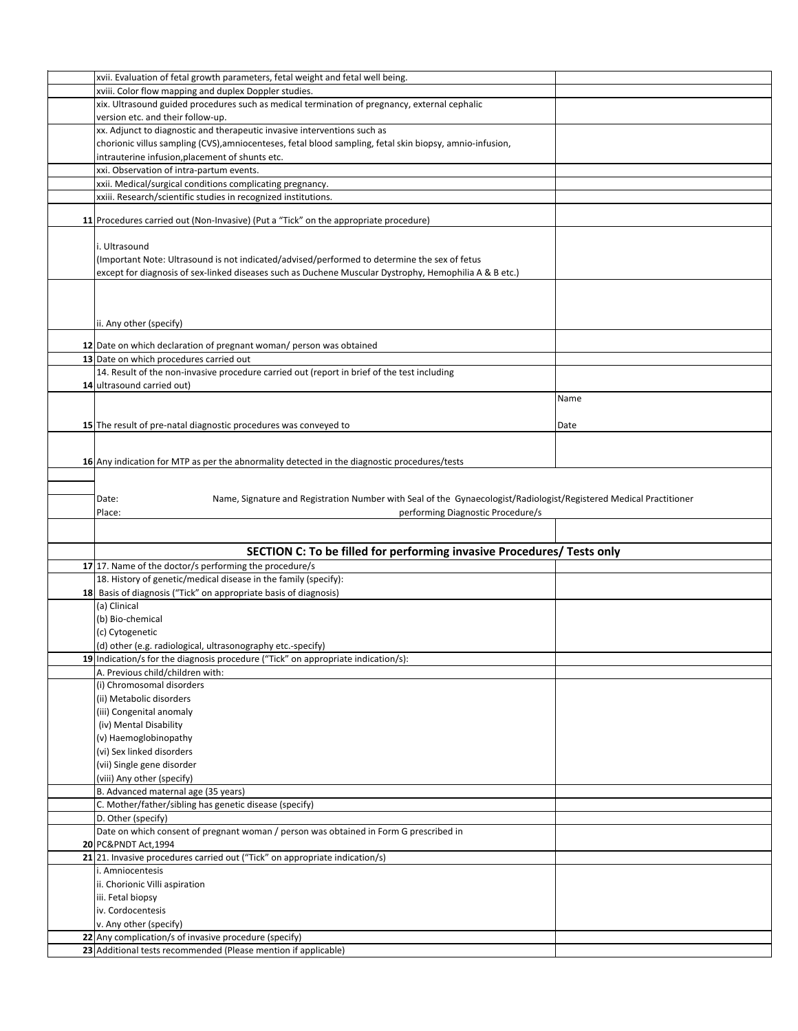| xvii. Evaluation of fetal growth parameters, fetal weight and fetal well being.                                             |      |
|-----------------------------------------------------------------------------------------------------------------------------|------|
|                                                                                                                             |      |
| xviii. Color flow mapping and duplex Doppler studies.                                                                       |      |
| xix. Ultrasound guided procedures such as medical termination of pregnancy, external cephalic                               |      |
| version etc. and their follow-up.                                                                                           |      |
| xx. Adjunct to diagnostic and therapeutic invasive interventions such as                                                    |      |
| chorionic villus sampling (CVS), amniocenteses, fetal blood sampling, fetal skin biopsy, amnio-infusion,                    |      |
|                                                                                                                             |      |
| intrauterine infusion, placement of shunts etc.                                                                             |      |
| xxi. Observation of intra-partum events.                                                                                    |      |
| xxii. Medical/surgical conditions complicating pregnancy.                                                                   |      |
| xxiii. Research/scientific studies in recognized institutions.                                                              |      |
|                                                                                                                             |      |
| 11 Procedures carried out (Non-Invasive) (Put a "Tick" on the appropriate procedure)                                        |      |
|                                                                                                                             |      |
| i. Ultrasound                                                                                                               |      |
|                                                                                                                             |      |
| (Important Note: Ultrasound is not indicated/advised/performed to determine the sex of fetus                                |      |
| except for diagnosis of sex-linked diseases such as Duchene Muscular Dystrophy, Hemophilia A & B etc.)                      |      |
|                                                                                                                             |      |
|                                                                                                                             |      |
|                                                                                                                             |      |
| ii. Any other (specify)                                                                                                     |      |
|                                                                                                                             |      |
| 12 Date on which declaration of pregnant woman/ person was obtained                                                         |      |
| 13 Date on which procedures carried out                                                                                     |      |
| 14. Result of the non-invasive procedure carried out (report in brief of the test including                                 |      |
| 14 ultrasound carried out)                                                                                                  |      |
|                                                                                                                             |      |
|                                                                                                                             | Name |
|                                                                                                                             |      |
| 15 The result of pre-natal diagnostic procedures was conveyed to                                                            | Date |
|                                                                                                                             |      |
|                                                                                                                             |      |
| 16 Any indication for MTP as per the abnormality detected in the diagnostic procedures/tests                                |      |
|                                                                                                                             |      |
|                                                                                                                             |      |
|                                                                                                                             |      |
|                                                                                                                             |      |
| Name, Signature and Registration Number with Seal of the Gynaecologist/Radiologist/Registered Medical Practitioner<br>Date: |      |
| Place:<br>performing Diagnostic Procedure/s                                                                                 |      |
|                                                                                                                             |      |
|                                                                                                                             |      |
| SECTION C: To be filled for performing invasive Procedures/ Tests only                                                      |      |
| 17 17. Name of the doctor/s performing the procedure/s                                                                      |      |
| 18. History of genetic/medical disease in the family (specify):                                                             |      |
| 18 Basis of diagnosis ("Tick" on appropriate basis of diagnosis)                                                            |      |
|                                                                                                                             |      |
| (a) Clinical                                                                                                                |      |
| (b) Bio-chemical                                                                                                            |      |
| (c) Cytogenetic                                                                                                             |      |
| (d) other (e.g. radiological, ultrasonography etc.-specify)                                                                 |      |
| 19 Indication/s for the diagnosis procedure ("Tick" on appropriate indication/s):                                           |      |
| A. Previous child/children with:                                                                                            |      |
| (i) Chromosomal disorders                                                                                                   |      |
|                                                                                                                             |      |
| (ii) Metabolic disorders                                                                                                    |      |
| (iii) Congenital anomaly                                                                                                    |      |
| (iv) Mental Disability                                                                                                      |      |
| (v) Haemoglobinopathy                                                                                                       |      |
| (vi) Sex linked disorders                                                                                                   |      |
| (vii) Single gene disorder                                                                                                  |      |
|                                                                                                                             |      |
| (viii) Any other (specify)                                                                                                  |      |
| B. Advanced maternal age (35 years)                                                                                         |      |
| C. Mother/father/sibling has genetic disease (specify)                                                                      |      |
| D. Other (specify)                                                                                                          |      |
| Date on which consent of pregnant woman / person was obtained in Form G prescribed in                                       |      |
| 20 PC&PNDT Act, 1994                                                                                                        |      |
| 21 21. Invasive procedures carried out ("Tick" on appropriate indication/s)                                                 |      |
| i. Amniocentesis                                                                                                            |      |
|                                                                                                                             |      |
| ii. Chorionic Villi aspiration                                                                                              |      |
| iii. Fetal biopsy                                                                                                           |      |
| iv. Cordocentesis                                                                                                           |      |
| v. Any other (specify)                                                                                                      |      |
| 22 Any complication/s of invasive procedure (specify)<br>23 Additional tests recommended (Please mention if applicable)     |      |